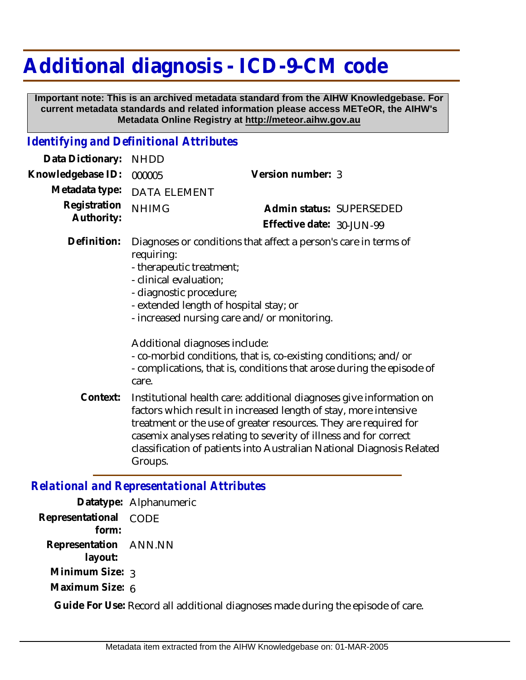# **Additional diagnosis - ICD-9-CM code**

 **Important note: This is an archived metadata standard from the AIHW Knowledgebase. For current metadata standards and related information please access METeOR, the AIHW's Metadata Online Registry at http://meteor.aihw.gov.au**

## *Identifying and Definitional Attributes*

| Data Dictionary:           | <b>NHDD</b>                                                                                                                                                                                                                                                                                                                                                         |                                                                       |                          |
|----------------------------|---------------------------------------------------------------------------------------------------------------------------------------------------------------------------------------------------------------------------------------------------------------------------------------------------------------------------------------------------------------------|-----------------------------------------------------------------------|--------------------------|
| Knowledgebase ID:          | 000005                                                                                                                                                                                                                                                                                                                                                              | Version number: 3                                                     |                          |
| Metadata type:             | <b>DATA ELEMENT</b>                                                                                                                                                                                                                                                                                                                                                 |                                                                       |                          |
| Registration<br>Authority: | <b>NHIMG</b>                                                                                                                                                                                                                                                                                                                                                        |                                                                       | Admin status: SUPERSEDED |
|                            |                                                                                                                                                                                                                                                                                                                                                                     | Effective date: 30-JUN-99                                             |                          |
| Definition:                | Diagnoses or conditions that affect a person's care in terms of<br>requiring:<br>- therapeutic treatment;<br>- clinical evaluation;<br>- diagnostic procedure;<br>- extended length of hospital stay; or<br>- increased nursing care and/or monitoring.<br>Additional diagnoses include:<br>- co-morbid conditions, that is, co-existing conditions; and/or         |                                                                       |                          |
|                            | care.                                                                                                                                                                                                                                                                                                                                                               | - complications, that is, conditions that arose during the episode of |                          |
| Context:                   | Institutional health care: additional diagnoses give information on<br>factors which result in increased length of stay, more intensive<br>treatment or the use of greater resources. They are required for<br>casemix analyses relating to severity of illness and for correct<br>classification of patients into Australian National Diagnosis Related<br>Groups. |                                                                       |                          |
|                            |                                                                                                                                                                                                                                                                                                                                                                     |                                                                       |                          |

## *Relational and Representational Attributes*

**Datatype:** Alphanumeric **Representational** CODE  **form: Representation** ANN.NN  **layout: Minimum Size:** 3 **Maximum Size:** 6

**Guide For Use:** Record all additional diagnoses made during the episode of care.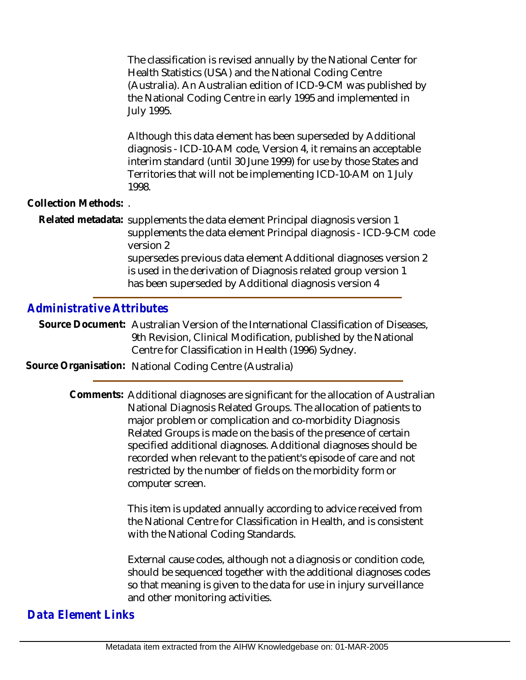The classification is revised annually by the National Center for Health Statistics (USA) and the National Coding Centre (Australia). An Australian edition of ICD-9-CM was published by the National Coding Centre in early 1995 and implemented in July 1995.

Although this data element has been superseded by Additional diagnosis - ICD-10-AM code, Version 4, it remains an acceptable interim standard (until 30 June 1999) for use by those States and Territories that will not be implementing ICD-10-AM on 1 July 1998.

#### **Collection Methods:** .

Related metadata: supplements the data element Principal diagnosis version 1 supplements the data element Principal diagnosis - ICD-9-CM code version 2 supersedes previous data element Additional diagnoses version 2 is used in the derivation of Diagnosis related group version 1 has been superseded by Additional diagnosis version 4

# *Administrative Attributes*

Source Document: Australian Version of the International Classification of Diseases, 9th Revision, Clinical Modification, published by the National Centre for Classification in Health (1996) Sydney.

# **Source Organisation:** National Coding Centre (Australia)

Comments: Additional diagnoses are significant for the allocation of Australian National Diagnosis Related Groups. The allocation of patients to major problem or complication and co-morbidity Diagnosis Related Groups is made on the basis of the presence of certain specified additional diagnoses. Additional diagnoses should be recorded when relevant to the patient's episode of care and not restricted by the number of fields on the morbidity form or computer screen.

> This item is updated annually according to advice received from the National Centre for Classification in Health, and is consistent with the National Coding Standards.

External cause codes, although not a diagnosis or condition code, should be sequenced together with the additional diagnoses codes so that meaning is given to the data for use in injury surveillance and other monitoring activities.

# *Data Element Links*